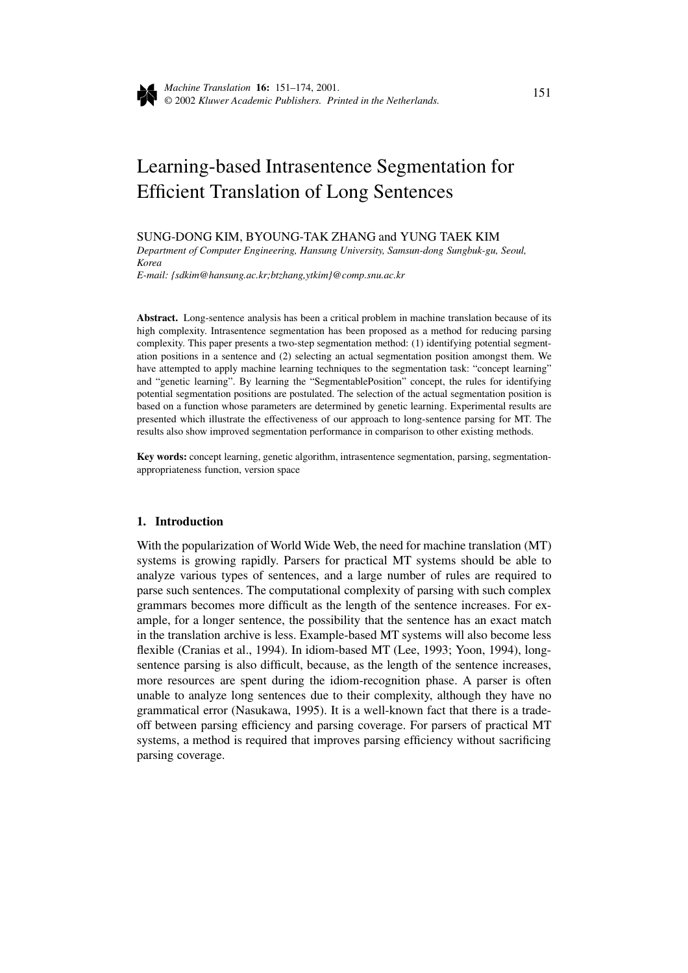

# Learning-based Intrasentence Segmentation for Efficient Translation of Long Sentences

## SUNG-DONG KIM, BYOUNG-TAK ZHANG and YUNG TAEK KIM

*Department of Computer Engineering, Hansung University, Samsun-dong Sungbuk-gu, Seoul, Korea*

*E-mail: {sdkim@hansung.ac.kr;btzhang,ytkim}@comp.snu.ac.kr*

**Abstract.** Long-sentence analysis has been a critical problem in machine translation because of its high complexity. Intrasentence segmentation has been proposed as a method for reducing parsing complexity. This paper presents a two-step segmentation method: (1) identifying potential segmentation positions in a sentence and (2) selecting an actual segmentation position amongst them. We have attempted to apply machine learning techniques to the segmentation task: "concept learning" and "genetic learning". By learning the "SegmentablePosition" concept, the rules for identifying potential segmentation positions are postulated. The selection of the actual segmentation position is based on a function whose parameters are determined by genetic learning. Experimental results are presented which illustrate the effectiveness of our approach to long-sentence parsing for MT. The results also show improved segmentation performance in comparison to other existing methods.

**Key words:** concept learning, genetic algorithm, intrasentence segmentation, parsing, segmentationappropriateness function, version space

#### **1. Introduction**

With the popularization of World Wide Web, the need for machine translation (MT) systems is growing rapidly. Parsers for practical MT systems should be able to analyze various types of sentences, and a large number of rules are required to parse such sentences. The computational complexity of parsing with such complex grammars becomes more difficult as the length of the sentence increases. For example, for a longer sentence, the possibility that the sentence has an exact match in the translation archive is less. Example-based MT systems will also become less flexible (Cranias et al., 1994). In idiom-based MT (Lee, 1993; Yoon, 1994), longsentence parsing is also difficult, because, as the length of the sentence increases, more resources are spent during the idiom-recognition phase. A parser is often unable to analyze long sentences due to their complexity, although they have no grammatical error (Nasukawa, 1995). It is a well-known fact that there is a tradeoff between parsing efficiency and parsing coverage. For parsers of practical MT systems, a method is required that improves parsing efficiency without sacrificing parsing coverage.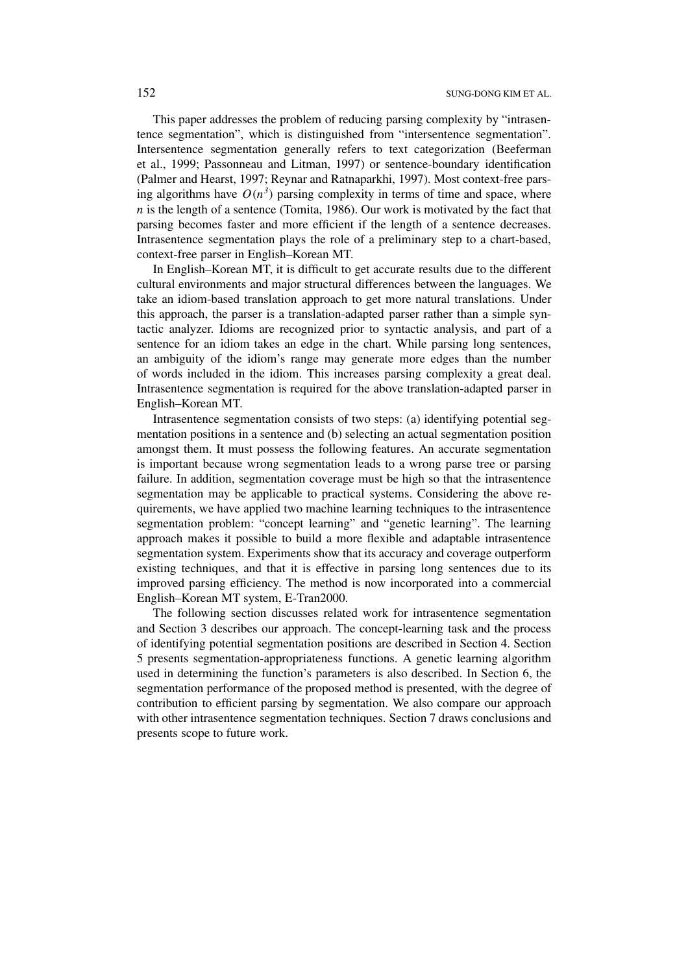This paper addresses the problem of reducing parsing complexity by "intrasentence segmentation", which is distinguished from "intersentence segmentation". Intersentence segmentation generally refers to text categorization (Beeferman et al., 1999; Passonneau and Litman, 1997) or sentence-boundary identification (Palmer and Hearst, 1997; Reynar and Ratnaparkhi, 1997). Most context-free parsing algorithms have  $O(n^3)$  parsing complexity in terms of time and space, where *n* is the length of a sentence (Tomita, 1986). Our work is motivated by the fact that parsing becomes faster and more efficient if the length of a sentence decreases. Intrasentence segmentation plays the role of a preliminary step to a chart-based, context-free parser in English–Korean MT.

In English–Korean MT, it is difficult to get accurate results due to the different cultural environments and major structural differences between the languages. We take an idiom-based translation approach to get more natural translations. Under this approach, the parser is a translation-adapted parser rather than a simple syntactic analyzer. Idioms are recognized prior to syntactic analysis, and part of a sentence for an idiom takes an edge in the chart. While parsing long sentences, an ambiguity of the idiom's range may generate more edges than the number of words included in the idiom. This increases parsing complexity a great deal. Intrasentence segmentation is required for the above translation-adapted parser in English–Korean MT.

Intrasentence segmentation consists of two steps: (a) identifying potential segmentation positions in a sentence and (b) selecting an actual segmentation position amongst them. It must possess the following features. An accurate segmentation is important because wrong segmentation leads to a wrong parse tree or parsing failure. In addition, segmentation coverage must be high so that the intrasentence segmentation may be applicable to practical systems. Considering the above requirements, we have applied two machine learning techniques to the intrasentence segmentation problem: "concept learning" and "genetic learning". The learning approach makes it possible to build a more flexible and adaptable intrasentence segmentation system. Experiments show that its accuracy and coverage outperform existing techniques, and that it is effective in parsing long sentences due to its improved parsing efficiency. The method is now incorporated into a commercial English–Korean MT system, E-Tran2000.

The following section discusses related work for intrasentence segmentation and Section 3 describes our approach. The concept-learning task and the process of identifying potential segmentation positions are described in Section 4. Section 5 presents segmentation-appropriateness functions. A genetic learning algorithm used in determining the function's parameters is also described. In Section 6, the segmentation performance of the proposed method is presented, with the degree of contribution to efficient parsing by segmentation. We also compare our approach with other intrasentence segmentation techniques. Section 7 draws conclusions and presents scope to future work.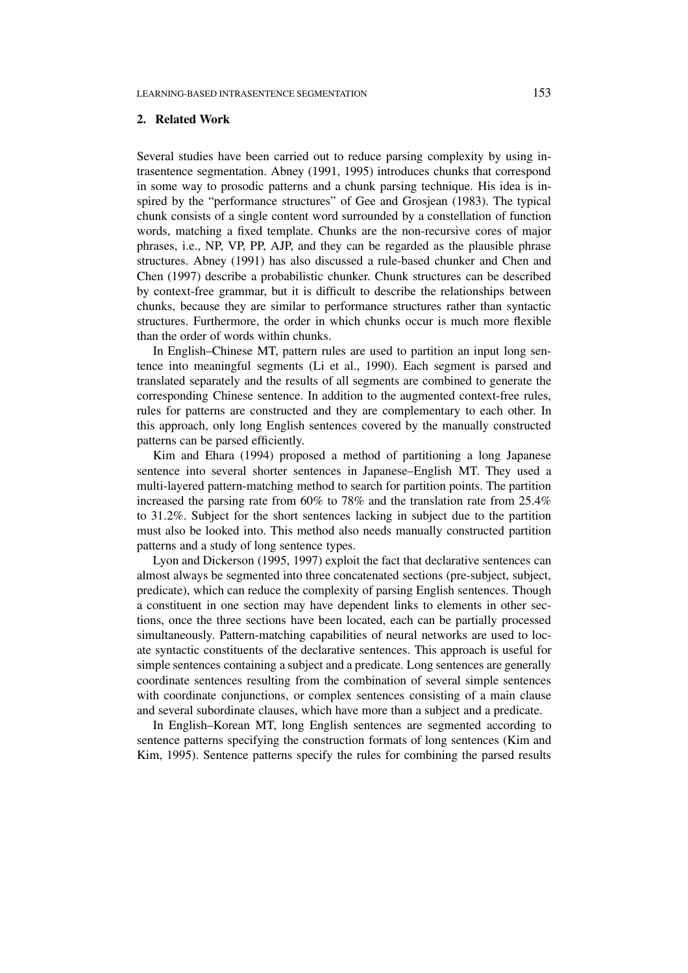# **2. Related Work**

Several studies have been carried out to reduce parsing complexity by using intrasentence segmentation. Abney (1991, 1995) introduces chunks that correspond in some way to prosodic patterns and a chunk parsing technique. His idea is inspired by the "performance structures" of Gee and Grosjean (1983). The typical chunk consists of a single content word surrounded by a constellation of function words, matching a fixed template. Chunks are the non-recursive cores of major phrases, i.e., NP, VP, PP, AJP, and they can be regarded as the plausible phrase structures. Abney (1991) has also discussed a rule-based chunker and Chen and Chen (1997) describe a probabilistic chunker. Chunk structures can be described by context-free grammar, but it is difficult to describe the relationships between chunks, because they are similar to performance structures rather than syntactic structures. Furthermore, the order in which chunks occur is much more flexible than the order of words within chunks.

In English–Chinese MT, pattern rules are used to partition an input long sentence into meaningful segments (Li et al., 1990). Each segment is parsed and translated separately and the results of all segments are combined to generate the corresponding Chinese sentence. In addition to the augmented context-free rules, rules for patterns are constructed and they are complementary to each other. In this approach, only long English sentences covered by the manually constructed patterns can be parsed efficiently.

Kim and Ehara (1994) proposed a method of partitioning a long Japanese sentence into several shorter sentences in Japanese–English MT. They used a multi-layered pattern-matching method to search for partition points. The partition increased the parsing rate from 60% to 78% and the translation rate from 25.4% to 31.2%. Subject for the short sentences lacking in subject due to the partition must also be looked into. This method also needs manually constructed partition patterns and a study of long sentence types.

Lyon and Dickerson (1995, 1997) exploit the fact that declarative sentences can almost always be segmented into three concatenated sections (pre-subject, subject, predicate), which can reduce the complexity of parsing English sentences. Though a constituent in one section may have dependent links to elements in other sections, once the three sections have been located, each can be partially processed simultaneously. Pattern-matching capabilities of neural networks are used to locate syntactic constituents of the declarative sentences. This approach is useful for simple sentences containing a subject and a predicate. Long sentences are generally coordinate sentences resulting from the combination of several simple sentences with coordinate conjunctions, or complex sentences consisting of a main clause and several subordinate clauses, which have more than a subject and a predicate.

In English–Korean MT, long English sentences are segmented according to sentence patterns specifying the construction formats of long sentences (Kim and Kim, 1995). Sentence patterns specify the rules for combining the parsed results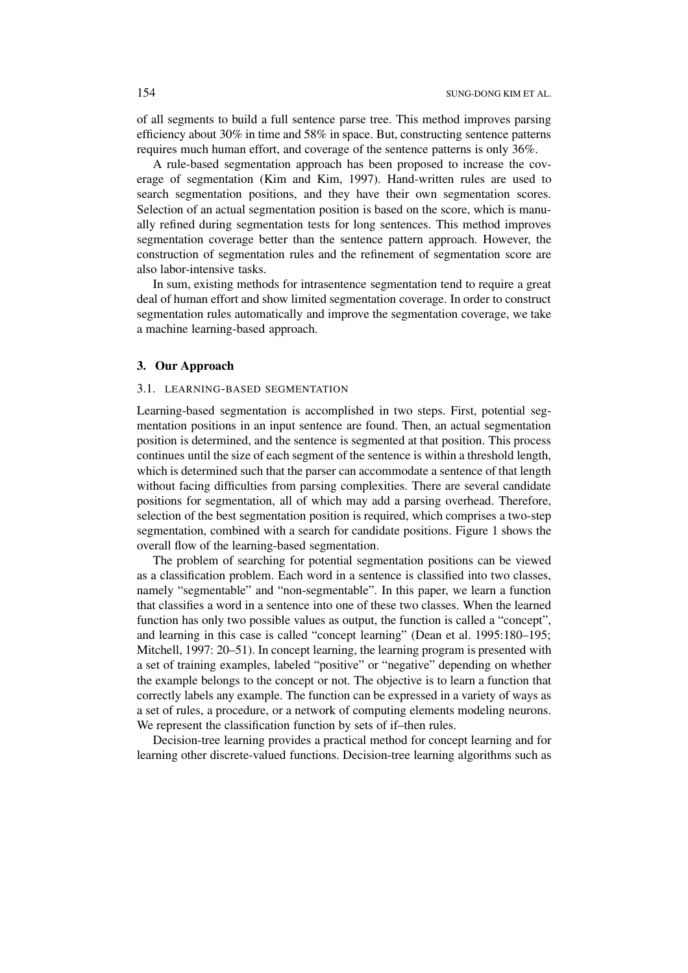of all segments to build a full sentence parse tree. This method improves parsing efficiency about 30% in time and 58% in space. But, constructing sentence patterns requires much human effort, and coverage of the sentence patterns is only 36%.

A rule-based segmentation approach has been proposed to increase the coverage of segmentation (Kim and Kim, 1997). Hand-written rules are used to search segmentation positions, and they have their own segmentation scores. Selection of an actual segmentation position is based on the score, which is manually refined during segmentation tests for long sentences. This method improves segmentation coverage better than the sentence pattern approach. However, the construction of segmentation rules and the refinement of segmentation score are also labor-intensive tasks.

In sum, existing methods for intrasentence segmentation tend to require a great deal of human effort and show limited segmentation coverage. In order to construct segmentation rules automatically and improve the segmentation coverage, we take a machine learning-based approach.

# **3. Our Approach**

## 3.1. LEARNING-BASED SEGMENTATION

Learning-based segmentation is accomplished in two steps. First, potential segmentation positions in an input sentence are found. Then, an actual segmentation position is determined, and the sentence is segmented at that position. This process continues until the size of each segment of the sentence is within a threshold length, which is determined such that the parser can accommodate a sentence of that length without facing difficulties from parsing complexities. There are several candidate positions for segmentation, all of which may add a parsing overhead. Therefore, selection of the best segmentation position is required, which comprises a two-step segmentation, combined with a search for candidate positions. Figure 1 shows the overall flow of the learning-based segmentation.

The problem of searching for potential segmentation positions can be viewed as a classification problem. Each word in a sentence is classified into two classes, namely "segmentable" and "non-segmentable". In this paper, we learn a function that classifies a word in a sentence into one of these two classes. When the learned function has only two possible values as output, the function is called a "concept", and learning in this case is called "concept learning" (Dean et al. 1995:180–195; Mitchell, 1997: 20–51). In concept learning, the learning program is presented with a set of training examples, labeled "positive" or "negative" depending on whether the example belongs to the concept or not. The objective is to learn a function that correctly labels any example. The function can be expressed in a variety of ways as a set of rules, a procedure, or a network of computing elements modeling neurons. We represent the classification function by sets of if–then rules.

Decision-tree learning provides a practical method for concept learning and for learning other discrete-valued functions. Decision-tree learning algorithms such as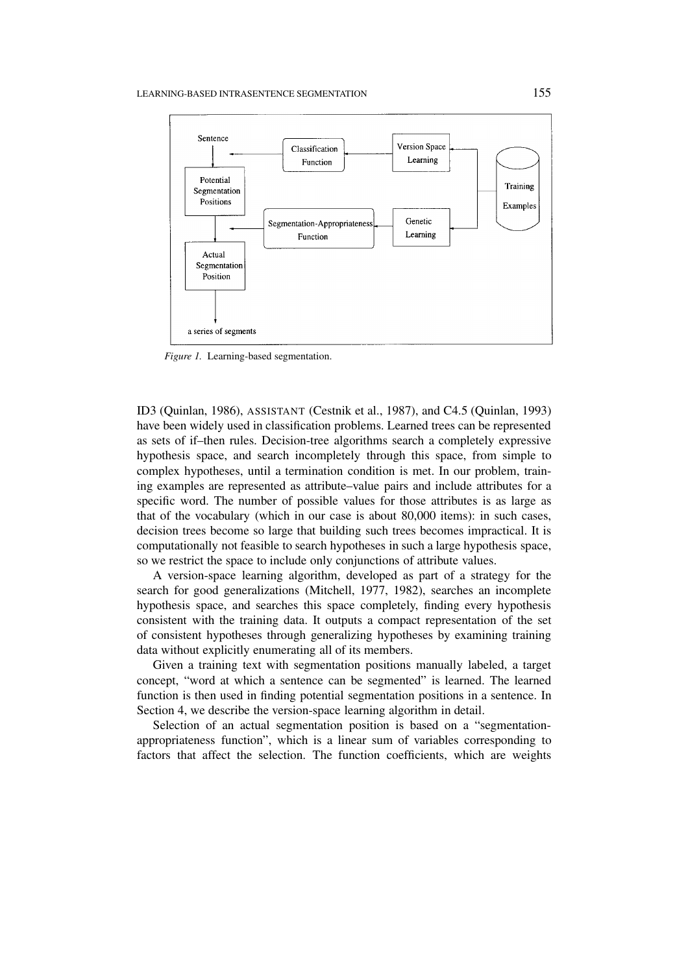

*Figure 1.* Learning-based segmentation.

ID3 (Quinlan, 1986), ASSISTANT (Cestnik et al., 1987), and C4.5 (Quinlan, 1993) have been widely used in classification problems. Learned trees can be represented as sets of if–then rules. Decision-tree algorithms search a completely expressive hypothesis space, and search incompletely through this space, from simple to complex hypotheses, until a termination condition is met. In our problem, training examples are represented as attribute–value pairs and include attributes for a specific word. The number of possible values for those attributes is as large as that of the vocabulary (which in our case is about 80,000 items): in such cases, decision trees become so large that building such trees becomes impractical. It is computationally not feasible to search hypotheses in such a large hypothesis space, so we restrict the space to include only conjunctions of attribute values.

A version-space learning algorithm, developed as part of a strategy for the search for good generalizations (Mitchell, 1977, 1982), searches an incomplete hypothesis space, and searches this space completely, finding every hypothesis consistent with the training data. It outputs a compact representation of the set of consistent hypotheses through generalizing hypotheses by examining training data without explicitly enumerating all of its members.

Given a training text with segmentation positions manually labeled, a target concept, "word at which a sentence can be segmented" is learned. The learned function is then used in finding potential segmentation positions in a sentence. In Section 4, we describe the version-space learning algorithm in detail.

Selection of an actual segmentation position is based on a "segmentationappropriateness function", which is a linear sum of variables corresponding to factors that affect the selection. The function coefficients, which are weights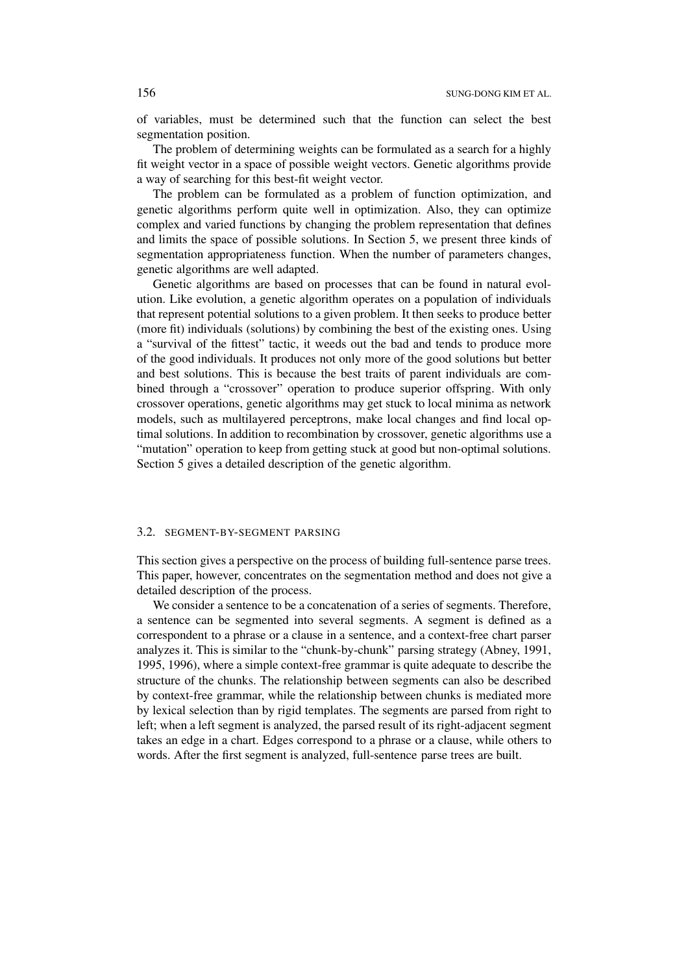of variables, must be determined such that the function can select the best segmentation position.

The problem of determining weights can be formulated as a search for a highly fit weight vector in a space of possible weight vectors. Genetic algorithms provide a way of searching for this best-fit weight vector.

The problem can be formulated as a problem of function optimization, and genetic algorithms perform quite well in optimization. Also, they can optimize complex and varied functions by changing the problem representation that defines and limits the space of possible solutions. In Section 5, we present three kinds of segmentation appropriateness function. When the number of parameters changes, genetic algorithms are well adapted.

Genetic algorithms are based on processes that can be found in natural evolution. Like evolution, a genetic algorithm operates on a population of individuals that represent potential solutions to a given problem. It then seeks to produce better (more fit) individuals (solutions) by combining the best of the existing ones. Using a "survival of the fittest" tactic, it weeds out the bad and tends to produce more of the good individuals. It produces not only more of the good solutions but better and best solutions. This is because the best traits of parent individuals are combined through a "crossover" operation to produce superior offspring. With only crossover operations, genetic algorithms may get stuck to local minima as network models, such as multilayered perceptrons, make local changes and find local optimal solutions. In addition to recombination by crossover, genetic algorithms use a "mutation" operation to keep from getting stuck at good but non-optimal solutions. Section 5 gives a detailed description of the genetic algorithm.

#### 3.2. SEGMENT-BY-SEGMENT PARSING

This section gives a perspective on the process of building full-sentence parse trees. This paper, however, concentrates on the segmentation method and does not give a detailed description of the process.

We consider a sentence to be a concatenation of a series of segments. Therefore, a sentence can be segmented into several segments. A segment is defined as a correspondent to a phrase or a clause in a sentence, and a context-free chart parser analyzes it. This is similar to the "chunk-by-chunk" parsing strategy (Abney, 1991, 1995, 1996), where a simple context-free grammar is quite adequate to describe the structure of the chunks. The relationship between segments can also be described by context-free grammar, while the relationship between chunks is mediated more by lexical selection than by rigid templates. The segments are parsed from right to left; when a left segment is analyzed, the parsed result of its right-adjacent segment takes an edge in a chart. Edges correspond to a phrase or a clause, while others to words. After the first segment is analyzed, full-sentence parse trees are built.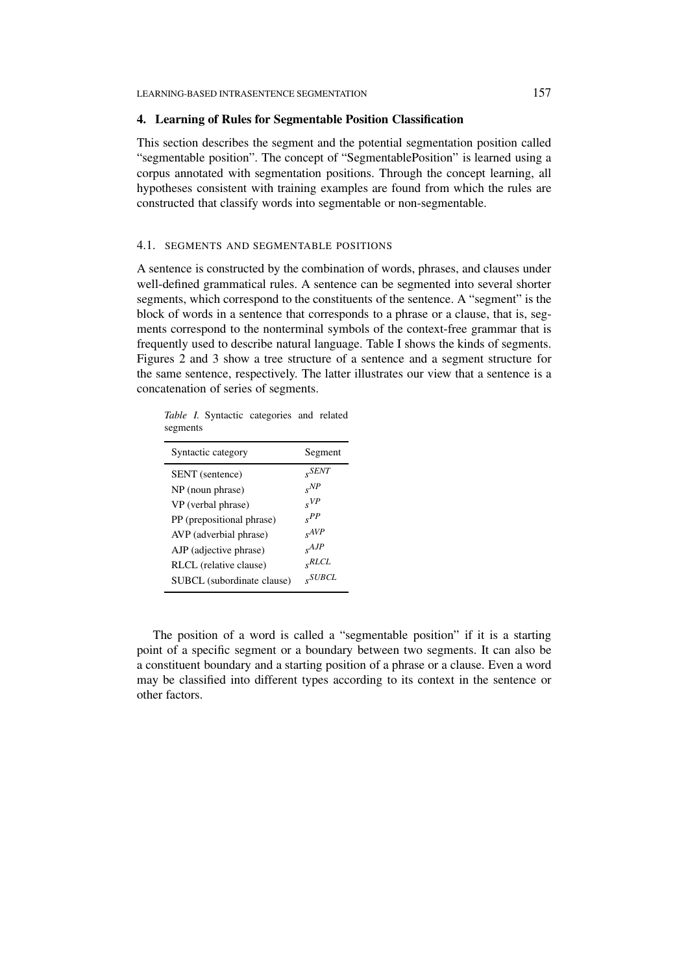## **4. Learning of Rules for Segmentable Position Classification**

This section describes the segment and the potential segmentation position called "segmentable position". The concept of "SegmentablePosition" is learned using a corpus annotated with segmentation positions. Through the concept learning, all hypotheses consistent with training examples are found from which the rules are constructed that classify words into segmentable or non-segmentable.

# 4.1. SEGMENTS AND SEGMENTABLE POSITIONS

A sentence is constructed by the combination of words, phrases, and clauses under well-defined grammatical rules. A sentence can be segmented into several shorter segments, which correspond to the constituents of the sentence. A "segment" is the block of words in a sentence that corresponds to a phrase or a clause, that is, segments correspond to the nonterminal symbols of the context-free grammar that is frequently used to describe natural language. Table I shows the kinds of segments. Figures 2 and 3 show a tree structure of a sentence and a segment structure for the same sentence, respectively. The latter illustrates our view that a sentence is a concatenation of series of segments.

|          |  | Table I. Syntactic categories and related |  |
|----------|--|-------------------------------------------|--|
| segments |  |                                           |  |

| Syntactic category         | Segment     |
|----------------------------|-------------|
| <b>SENT</b> (sentence)     | SENT        |
| NP (noun phrase)           | $s^{NP}$    |
| VP (verbal phrase)         | $\sqrt{s}V$ |
| PP (prepositional phrase)  | $s^{PP}$    |
| AVP (adverbial phrase)     | $s^{AVP}$   |
| AJP (adjective phrase)     | $_{S}AJP$   |
| RLCL (relative clause)     | RLCL        |
| SUBCL (subordinate clause) | SUBCL       |

The position of a word is called a "segmentable position" if it is a starting point of a specific segment or a boundary between two segments. It can also be a constituent boundary and a starting position of a phrase or a clause. Even a word may be classified into different types according to its context in the sentence or other factors.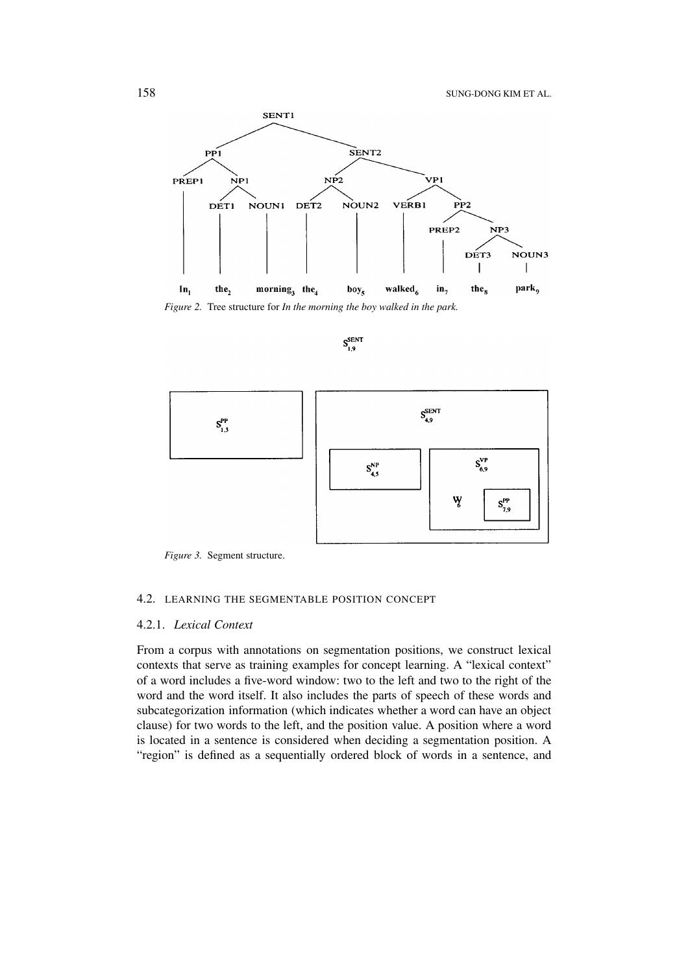





*Figure 3.* Segment structure.

## 4.2. LEARNING THE SEGMENTABLE POSITION CONCEPT

# 4.2.1. *Lexical Context*

From a corpus with annotations on segmentation positions, we construct lexical contexts that serve as training examples for concept learning. A "lexical context" of a word includes a five-word window: two to the left and two to the right of the word and the word itself. It also includes the parts of speech of these words and subcategorization information (which indicates whether a word can have an object clause) for two words to the left, and the position value. A position where a word is located in a sentence is considered when deciding a segmentation position. A "region" is defined as a sequentially ordered block of words in a sentence, and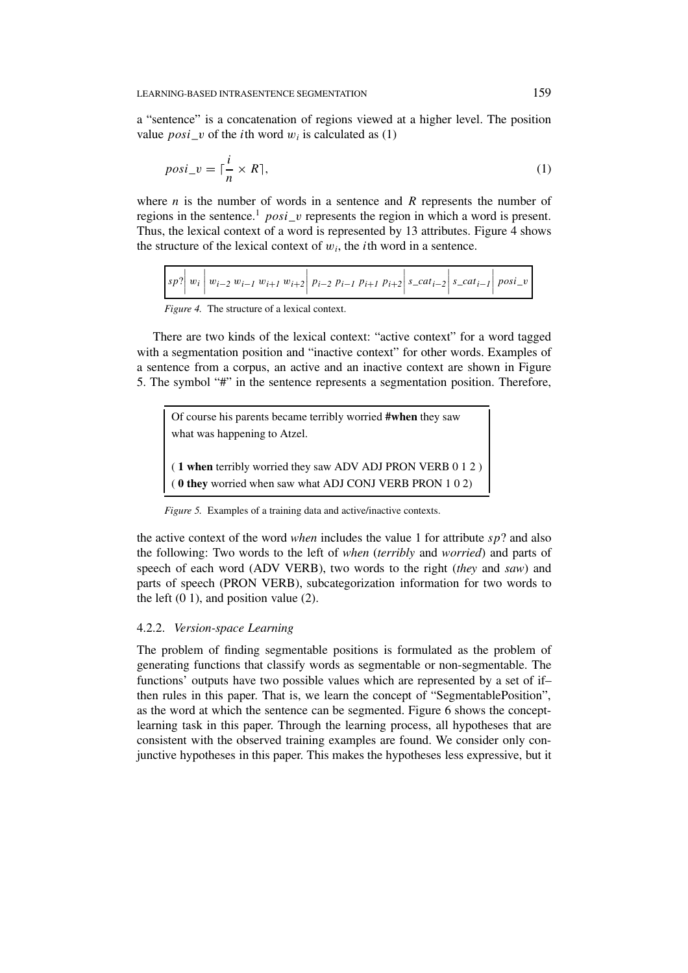a "sentence" is a concatenation of regions viewed at a higher level. The position value *posi v* of the *i*th word  $w_i$  is calculated as (1)

$$
posi_{-}v = \lceil \frac{i}{n} \times R \rceil,
$$
\n<sup>(1)</sup>

where *n* is the number of words in a sentence and *R* represents the number of regions in the sentence.<sup>1</sup> *posi\_v* represents the region in which a word is present. Thus, the lexical context of a word is represented by 13 attributes. Figure 4 shows the structure of the lexical context of  $w_i$ , the *i*th word in a sentence.

|--|

*Figure 4.* The structure of a lexical context.

There are two kinds of the lexical context: "active context" for a word tagged with a segmentation position and "inactive context" for other words. Examples of a sentence from a corpus, an active and an inactive context are shown in Figure 5. The symbol "#" in the sentence represents a segmentation position. Therefore,

Of course his parents became terribly worried **#when** they saw what was happening to Atzel. ( **1 when** terribly worried they saw ADV ADJ PRON VERB 0 1 2 ) ( **0 they** worried when saw what ADJ CONJ VERB PRON 1 0 2)

*Figure 5.* Examples of a training data and active/inactive contexts.

the active context of the word *when* includes the value 1 for attribute *sp*? and also the following: Two words to the left of *when* (*terribly* and *worried*) and parts of speech of each word (ADV VERB), two words to the right (*they* and *saw*) and parts of speech (PRON VERB), subcategorization information for two words to the left  $(0 1)$ , and position value  $(2)$ .

# 4.2.2. *Version-space Learning*

The problem of finding segmentable positions is formulated as the problem of generating functions that classify words as segmentable or non-segmentable. The functions' outputs have two possible values which are represented by a set of if– then rules in this paper. That is, we learn the concept of "SegmentablePosition", as the word at which the sentence can be segmented. Figure 6 shows the conceptlearning task in this paper. Through the learning process, all hypotheses that are consistent with the observed training examples are found. We consider only conjunctive hypotheses in this paper. This makes the hypotheses less expressive, but it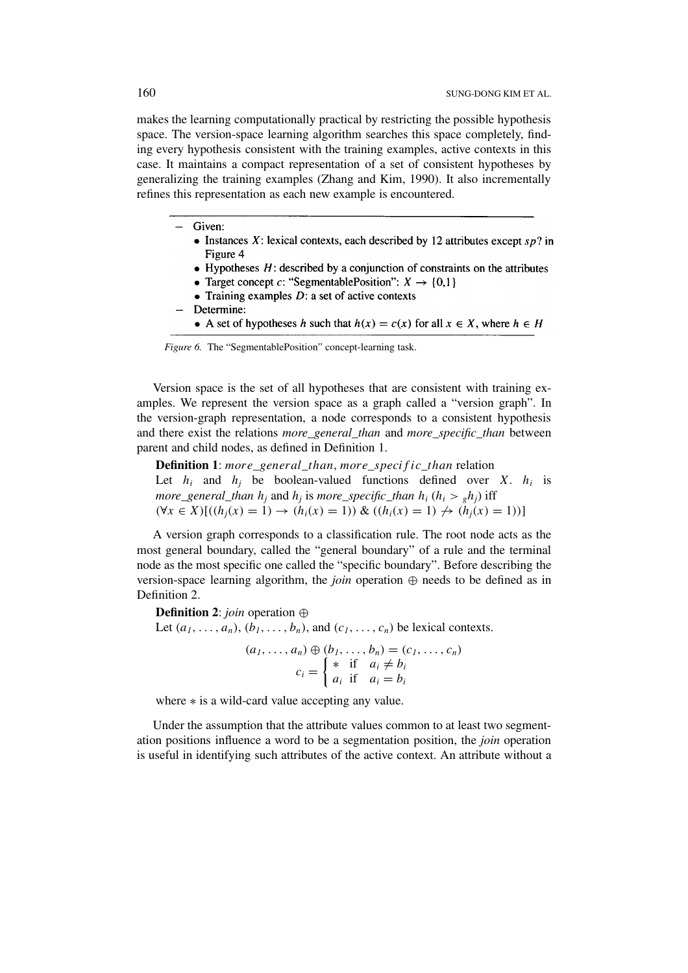makes the learning computationally practical by restricting the possible hypothesis space. The version-space learning algorithm searches this space completely, finding every hypothesis consistent with the training examples, active contexts in this case. It maintains a compact representation of a set of consistent hypotheses by generalizing the training examples (Zhang and Kim, 1990). It also incrementally refines this representation as each new example is encountered.

 $-$  Given:

- Instances X: lexical contexts, each described by 12 attributes except  $sp$ ? in Figure 4
- Hypotheses  $H$ : described by a conjunction of constraints on the attributes
- Target concept c: "SegmentablePosition":  $X \rightarrow \{0,1\}$
- Training examples  $D$ : a set of active contexts

- Determine:

• A set of hypotheses h such that  $h(x) = c(x)$  for all  $x \in X$ , where  $h \in H$ 

*Figure 6.* The "SegmentablePosition" concept-learning task.

Version space is the set of all hypotheses that are consistent with training examples. We represent the version space as a graph called a "version graph". In the version-graph representation, a node corresponds to a consistent hypothesis and there exist the relations *more\_general\_than* and *more\_specific\_than* between parent and child nodes, as defined in Definition 1.

**Definition 1**: *more*\_*general*\_*than*, *more*\_*specif ic*\_*than* relation

Let  $h_i$  and  $h_j$  be boolean-valued functions defined over *X*.  $h_i$  is *more\_general\_than*  $h_i$  and  $h_j$  is *more\_specific\_than*  $h_i$  ( $h_i > g h_j$ ) iff *(*∀*x* ∈ *X*)[ $((h_i(x) = 1) \rightarrow (h_i(x) = 1))$  &  $((h_i(x) = 1) \nrightarrow (h_i(x) = 1))]$ 

A version graph corresponds to a classification rule. The root node acts as the most general boundary, called the "general boundary" of a rule and the terminal node as the most specific one called the "specific boundary". Before describing the version-space learning algorithm, the *join* operation ⊕ needs to be defined as in Definition 2.

## **Definition 2**: *join* operation ⊕

Let  $(a_1, \ldots, a_n)$ ,  $(b_1, \ldots, b_n)$ , and  $(c_1, \ldots, c_n)$  be lexical contexts.

 $(a_1, \ldots, a_n) \oplus (b_1, \ldots, b_n) = (c_1, \ldots, c_n)$  $c_i = \begin{cases} * & \text{if } a_i \neq b_i \\ a_i & \text{if } a_i = b_i \end{cases}$  $a_i$  if  $a_i = b_i$ 

where ∗ is a wild-card value accepting any value.

Under the assumption that the attribute values common to at least two segmentation positions influence a word to be a segmentation position, the *join* operation is useful in identifying such attributes of the active context. An attribute without a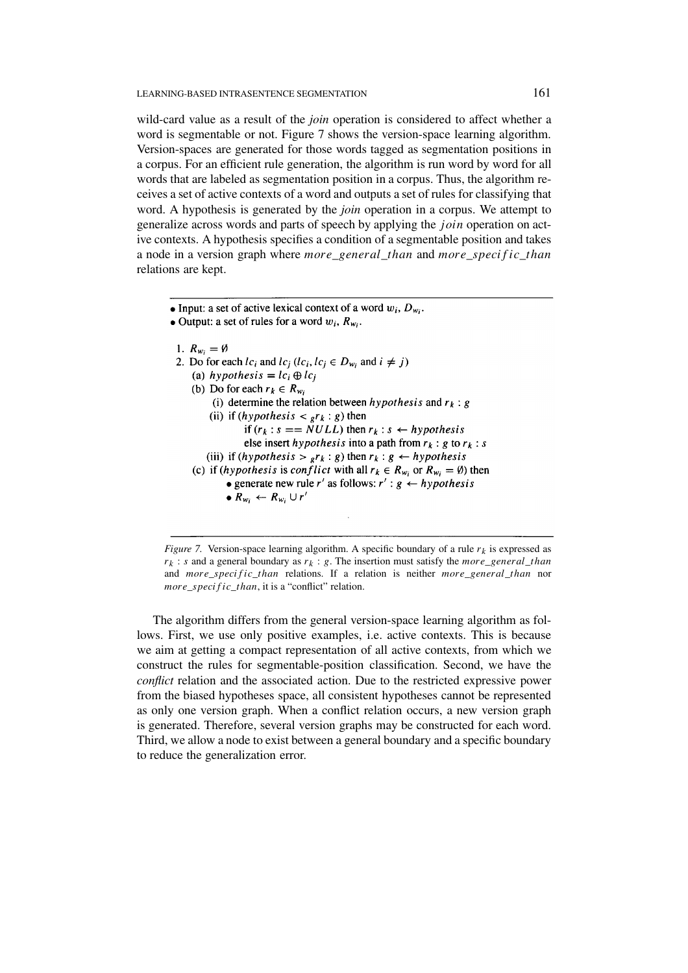LEARNING-BASED INTRASENTENCE SEGMENTATION 161

wild-card value as a result of the *join* operation is considered to affect whether a word is segmentable or not. Figure 7 shows the version-space learning algorithm. Version-spaces are generated for those words tagged as segmentation positions in a corpus. For an efficient rule generation, the algorithm is run word by word for all words that are labeled as segmentation position in a corpus. Thus, the algorithm receives a set of active contexts of a word and outputs a set of rules for classifying that word. A hypothesis is generated by the *join* operation in a corpus. We attempt to generalize across words and parts of speech by applying the *j oin* operation on active contexts. A hypothesis specifies a condition of a segmentable position and takes a node in a version graph where *more*\_*general*\_*than* and *more*\_*specif ic*\_*than* relations are kept.

- Input: a set of active lexical context of a word  $w_i$ ,  $D_{w_i}$ .
- Output: a set of rules for a word  $w_i$ ,  $R_{w_i}$ .
- 1.  $R_{w_i} = \emptyset$
- 2. Do for each  $lc_i$  and  $lc_i$  ( $lc_i$ ,  $lc_i \in D_{w_i}$  and  $i \neq j$ ) (a) hypothesis =  $lc_i \oplus lc_i$ 
	- (b) Do for each  $r_k \in R_{w_i}$ 
		- (i) determine the relation between *hypothesis* and  $r_k$ : g
			- (ii) if (*hypothesis*  $\lt q r_k : g$ ) then if  $(r_k : s == NULL)$  then  $r_k : s \leftarrow hypothesis$ else insert *hypothesis* into a path from  $r_k$ : g to  $r_k$ : s
			- (iii) if (hypothesis  $>_{g}r_{k}:g$ ) then  $r_{k}:g \leftarrow hypothesis$
	- (c) if (hypothesis is conflict with all  $r_k \in R_{w_i}$  or  $R_{w_i} = \emptyset$ ) then • generate new rule r' as follows:  $r'$  :  $g \leftarrow hypothesis$ 
		- $\bullet$   $R_{w_i} \leftarrow R_{w_i} \cup r'$

*Figure 7.* Version-space learning algorithm. A specific boundary of a rule  $r_k$  is expressed as  $r_k$  : *s* and a general boundary as  $r_k$  : *g*. The insertion must satisfy the *more\_general\_than* and *more*\_*specif ic*\_*than* relations. If a relation is neither *more*\_*general*\_*than* nor *more*\_*specif ic*\_*than*, it is a "conflict" relation.

The algorithm differs from the general version-space learning algorithm as follows. First, we use only positive examples, i.e. active contexts. This is because we aim at getting a compact representation of all active contexts, from which we construct the rules for segmentable-position classification. Second, we have the *conflict* relation and the associated action. Due to the restricted expressive power from the biased hypotheses space, all consistent hypotheses cannot be represented as only one version graph. When a conflict relation occurs, a new version graph is generated. Therefore, several version graphs may be constructed for each word. Third, we allow a node to exist between a general boundary and a specific boundary to reduce the generalization error.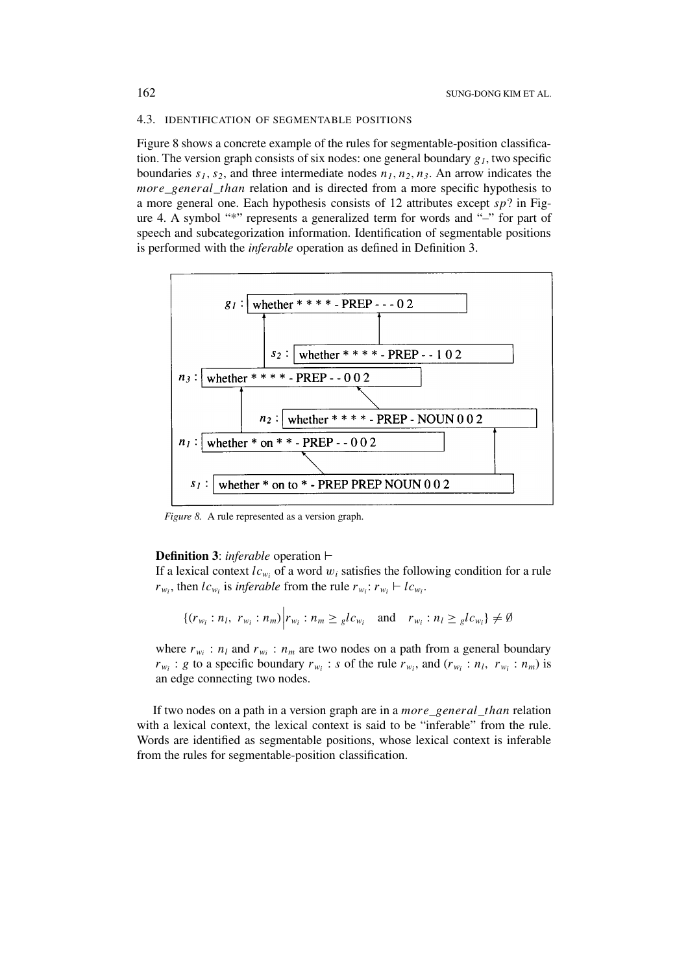## 4.3. IDENTIFICATION OF SEGMENTABLE POSITIONS

Figure 8 shows a concrete example of the rules for segmentable-position classification. The version graph consists of six nodes: one general boundary  $g<sub>l</sub>$ , two specific boundaries  $s_1, s_2$ , and three intermediate nodes  $n_1, n_2, n_3$ . An arrow indicates the *more*\_*general*\_*than* relation and is directed from a more specific hypothesis to a more general one. Each hypothesis consists of 12 attributes except *sp*? in Figure 4. A symbol "\*" represents a generalized term for words and "–" for part of speech and subcategorization information. Identification of segmentable positions is performed with the *inferable* operation as defined in Definition 3.



*Figure 8.* A rule represented as a version graph.

#### **Definition 3**: *inferable* operation  $\vdash$

If a lexical context  $lc_{w_i}$  of a word  $w_i$  satisfies the following condition for a rule *r*<sub>*w<sub>i</sub>*</sub>, then *lc*<sub>*w<sub>i</sub>*</sub> is *inferable* from the rule  $r_{w_i}: r_{w_i} \vdash l c_{w_i}$ .

$$
\{(r_{w_i}:n_l, r_{w_i}:n_m)\bigg| r_{w_i}:n_m\geq {}_{g}lc_{w_i} \text{ and } r_{w_i}:n_l\geq {}_{g}lc_{w_i}\}\neq \emptyset
$$

where  $r_{w_i}$ :  $n_l$  and  $r_{w_i}$ :  $n_m$  are two nodes on a path from a general boundary  $r_{w_i}$  : *g* to a specific boundary  $r_{w_i}$  : *s* of the rule  $r_{w_i}$ , and  $(r_{w_i} : n_l, r_{w_i} : n_m)$  is an edge connecting two nodes.

If two nodes on a path in a version graph are in a *more*\_*general*\_*than* relation with a lexical context, the lexical context is said to be "inferable" from the rule. Words are identified as segmentable positions, whose lexical context is inferable from the rules for segmentable-position classification.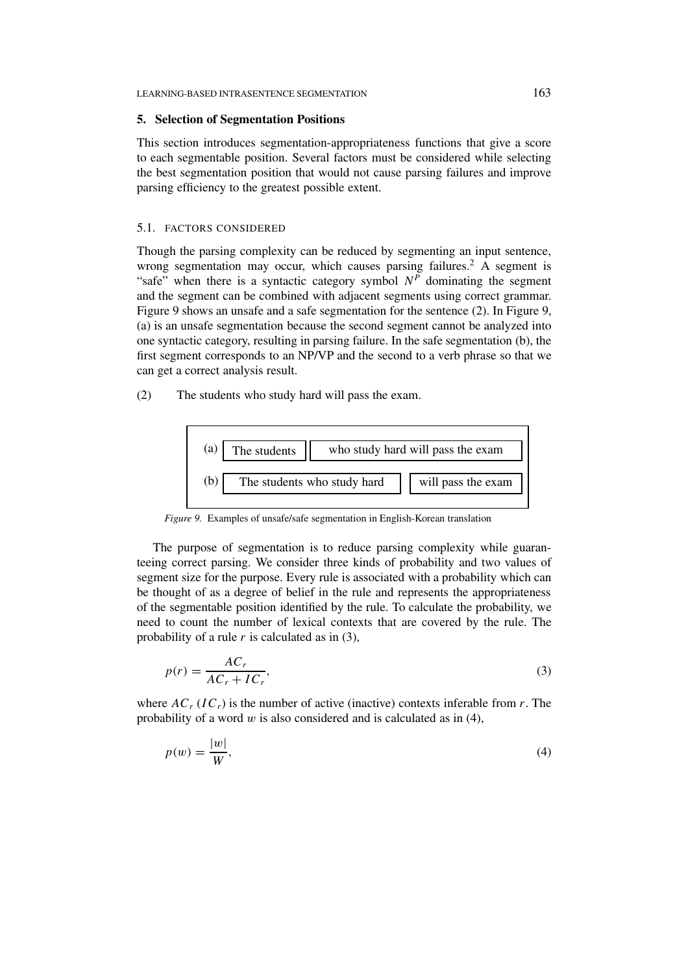## **5. Selection of Segmentation Positions**

This section introduces segmentation-appropriateness functions that give a score to each segmentable position. Several factors must be considered while selecting the best segmentation position that would not cause parsing failures and improve parsing efficiency to the greatest possible extent.

### 5.1. FACTORS CONSIDERED

Though the parsing complexity can be reduced by segmenting an input sentence, wrong segmentation may occur, which causes parsing failures.<sup>2</sup> A segment is "safe" when there is a syntactic category symbol  $N<sup>P</sup>$  dominating the segment and the segment can be combined with adjacent segments using correct grammar. Figure 9 shows an unsafe and a safe segmentation for the sentence (2). In Figure 9, (a) is an unsafe segmentation because the second segment cannot be analyzed into one syntactic category, resulting in parsing failure. In the safe segmentation (b), the first segment corresponds to an NP/VP and the second to a verb phrase so that we can get a correct analysis result.

(2) The students who study hard will pass the exam.



*Figure 9.* Examples of unsafe/safe segmentation in English-Korean translation

The purpose of segmentation is to reduce parsing complexity while guaranteeing correct parsing. We consider three kinds of probability and two values of segment size for the purpose. Every rule is associated with a probability which can be thought of as a degree of belief in the rule and represents the appropriateness of the segmentable position identified by the rule. To calculate the probability, we need to count the number of lexical contexts that are covered by the rule. The probability of a rule *r* is calculated as in (3),

$$
p(r) = \frac{AC_r}{AC_r + IC_r},\tag{3}
$$

where  $AC_r$  ( $IC_r$ ) is the number of active (inactive) contexts inferable from *r*. The probability of a word *w* is also considered and is calculated as in (4),

$$
p(w) = \frac{|w|}{W},\tag{4}
$$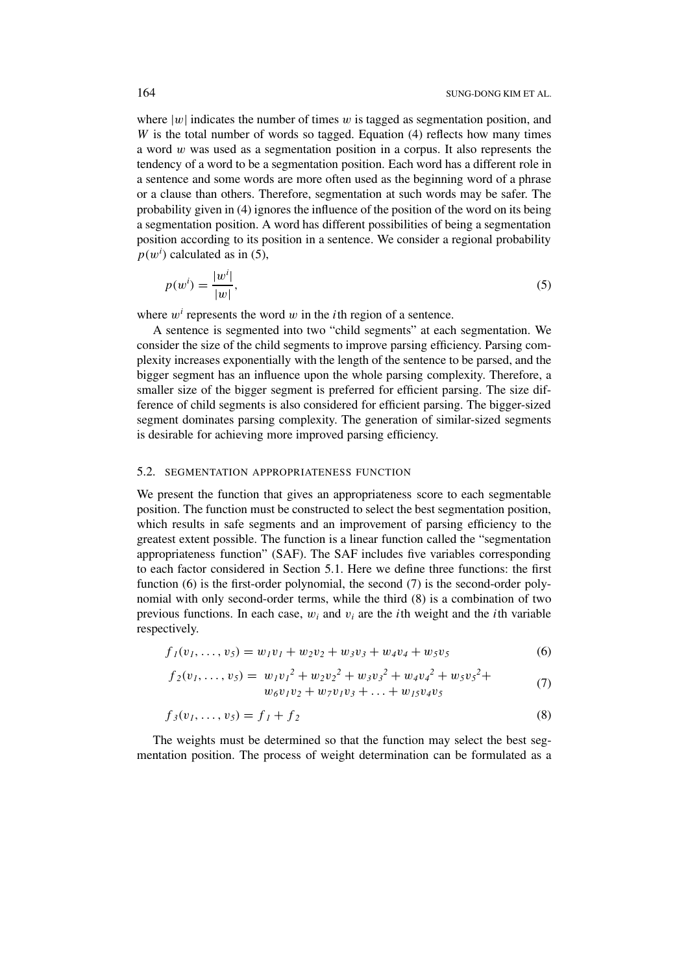where |*w*| indicates the number of times *w* is tagged as segmentation position, and *W* is the total number of words so tagged. Equation (4) reflects how many times a word *w* was used as a segmentation position in a corpus. It also represents the tendency of a word to be a segmentation position. Each word has a different role in a sentence and some words are more often used as the beginning word of a phrase or a clause than others. Therefore, segmentation at such words may be safer. The probability given in (4) ignores the influence of the position of the word on its being a segmentation position. A word has different possibilities of being a segmentation position according to its position in a sentence. We consider a regional probability  $p(w^i)$  calculated as in (5),

$$
p(w^i) = \frac{|w^i|}{|w|},\tag{5}
$$

where  $w<sup>i</sup>$  represents the word  $w$  in the *i*th region of a sentence.

A sentence is segmented into two "child segments" at each segmentation. We consider the size of the child segments to improve parsing efficiency. Parsing complexity increases exponentially with the length of the sentence to be parsed, and the bigger segment has an influence upon the whole parsing complexity. Therefore, a smaller size of the bigger segment is preferred for efficient parsing. The size difference of child segments is also considered for efficient parsing. The bigger-sized segment dominates parsing complexity. The generation of similar-sized segments is desirable for achieving more improved parsing efficiency.

## 5.2. SEGMENTATION APPROPRIATENESS FUNCTION

We present the function that gives an appropriateness score to each segmentable position. The function must be constructed to select the best segmentation position, which results in safe segments and an improvement of parsing efficiency to the greatest extent possible. The function is a linear function called the "segmentation appropriateness function" (SAF). The SAF includes five variables corresponding to each factor considered in Section 5.1. Here we define three functions: the first function (6) is the first-order polynomial, the second (7) is the second-order polynomial with only second-order terms, while the third (8) is a combination of two previous functions. In each case,  $w_i$  and  $v_i$  are the *i*th weight and the *i*th variable respectively.

$$
f_1(v_1, \ldots, v_5) = w_1v_1 + w_2v_2 + w_3v_3 + w_4v_4 + w_5v_5 \tag{6}
$$

$$
f_2(v_1, \ldots, v_5) = w_1v_1^2 + w_2v_2^2 + w_3v_3^2 + w_4v_4^2 + w_5v_5^2 + w_5v_5v_4v_2 + w_7v_1v_3 + \ldots + w_{15}v_4v_5 \tag{7}
$$

$$
f_3(v_1, \ldots, v_5) = f_1 + f_2 \tag{8}
$$

The weights must be determined so that the function may select the best segmentation position. The process of weight determination can be formulated as a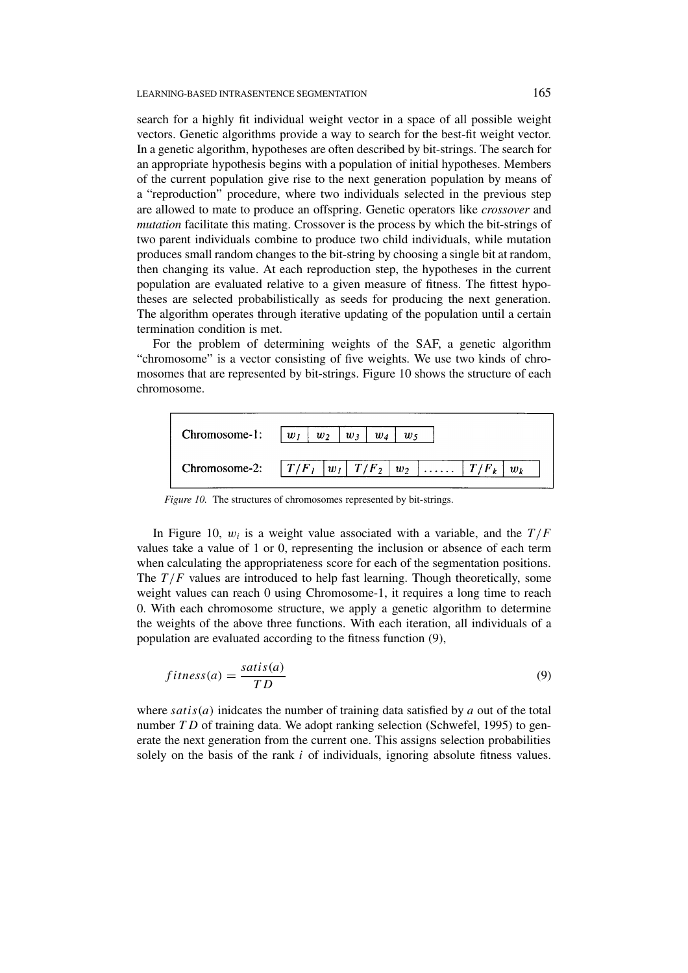search for a highly fit individual weight vector in a space of all possible weight vectors. Genetic algorithms provide a way to search for the best-fit weight vector. In a genetic algorithm, hypotheses are often described by bit-strings. The search for an appropriate hypothesis begins with a population of initial hypotheses. Members of the current population give rise to the next generation population by means of a "reproduction" procedure, where two individuals selected in the previous step are allowed to mate to produce an offspring. Genetic operators like *crossover* and *mutation* facilitate this mating. Crossover is the process by which the bit-strings of two parent individuals combine to produce two child individuals, while mutation produces small random changes to the bit-string by choosing a single bit at random, then changing its value. At each reproduction step, the hypotheses in the current population are evaluated relative to a given measure of fitness. The fittest hypotheses are selected probabilistically as seeds for producing the next generation. The algorithm operates through iterative updating of the population until a certain termination condition is met.

For the problem of determining weights of the SAF, a genetic algorithm "chromosome" is a vector consisting of five weights. We use two kinds of chromosomes that are represented by bit-strings. Figure 10 shows the structure of each chromosome.



*Figure 10.* The structures of chromosomes represented by bit-strings.

In Figure 10,  $w_i$  is a weight value associated with a variable, and the  $T/F$ values take a value of 1 or 0, representing the inclusion or absence of each term when calculating the appropriateness score for each of the segmentation positions. The  $T/F$  values are introduced to help fast learning. Though theoretically, some weight values can reach 0 using Chromosome-1, it requires a long time to reach 0. With each chromosome structure, we apply a genetic algorithm to determine the weights of the above three functions. With each iteration, all individuals of a population are evaluated according to the fitness function (9),

$$
fitness(a) = \frac{satis(a)}{TD}
$$
\n(9)

where  $satis(a)$  inideates the number of training data satisfied by  $a$  out of the total number *T D* of training data. We adopt ranking selection (Schwefel, 1995) to generate the next generation from the current one. This assigns selection probabilities solely on the basis of the rank *i* of individuals, ignoring absolute fitness values.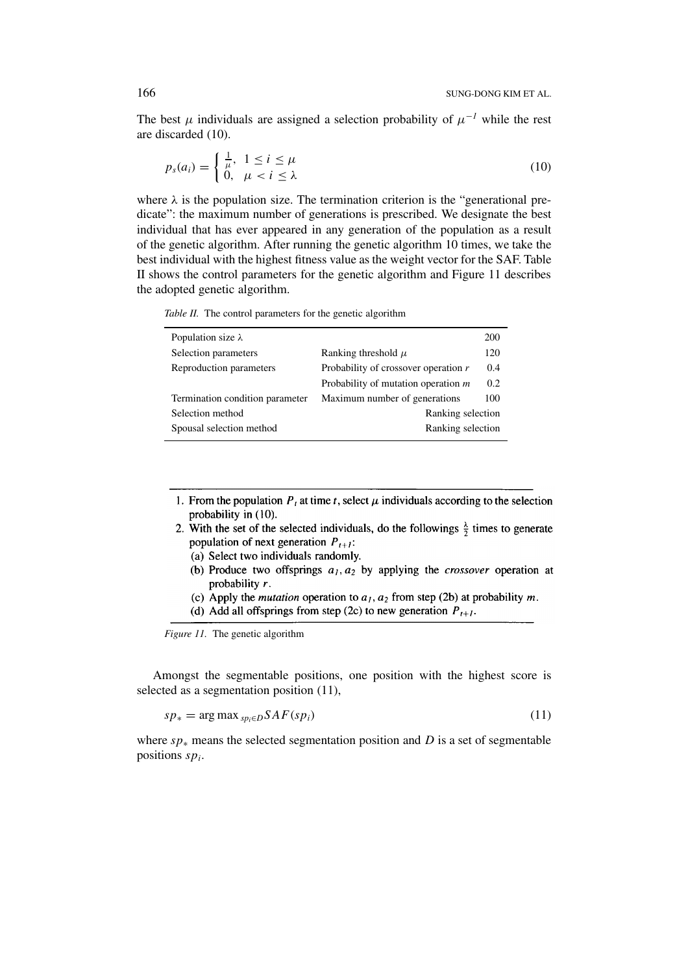The best  $\mu$  individuals are assigned a selection probability of  $\mu^{-1}$  while the rest are discarded (10).

$$
p_s(a_i) = \begin{cases} \frac{1}{\mu}, & 1 \le i \le \mu \\ 0, & \mu < i \le \lambda \end{cases}
$$
 (10)

where  $\lambda$  is the population size. The termination criterion is the "generational predicate": the maximum number of generations is prescribed. We designate the best individual that has ever appeared in any generation of the population as a result of the genetic algorithm. After running the genetic algorithm 10 times, we take the best individual with the highest fitness value as the weight vector for the SAF. Table II shows the control parameters for the genetic algorithm and Figure 11 describes the adopted genetic algorithm.

*Table II.* The control parameters for the genetic algorithm

| Population size $\lambda$       |                                        | 200 |  |
|---------------------------------|----------------------------------------|-----|--|
| Selection parameters            | Ranking threshold $\mu$                | 120 |  |
| Reproduction parameters         | Probability of crossover operation $r$ | 0.4 |  |
|                                 | Probability of mutation operation $m$  | 0.2 |  |
| Termination condition parameter | Maximum number of generations          | 100 |  |
| Selection method                | Ranking selection                      |     |  |
| Spousal selection method        | Ranking selection                      |     |  |
|                                 |                                        |     |  |

- 1. From the population  $P_t$  at time t, select  $\mu$  individuals according to the selection probability in (10).
- 2. With the set of the selected individuals, do the followings  $\frac{\lambda}{2}$  times to generate population of next generation  $P_{t+1}$ :
	- (a) Select two individuals randomly.
	- (b) Produce two offsprings  $a_1, a_2$  by applying the *crossover* operation at probability  $r$ .
	- (c) Apply the *mutation* operation to  $a_1$ ,  $a_2$  from step (2b) at probability m.
	- (d) Add all offsprings from step (2c) to new generation  $P_{t+1}$ .

*Figure 11.* The genetic algorithm

Amongst the segmentable positions, one position with the highest score is selected as a segmentation position  $(11)$ ,

$$
sp_* = \arg \max_{sp_i \in D} SAF(sp_i) \tag{11}
$$

where  $sp_*$  means the selected segmentation position and *D* is a set of segmentable positions *spi*.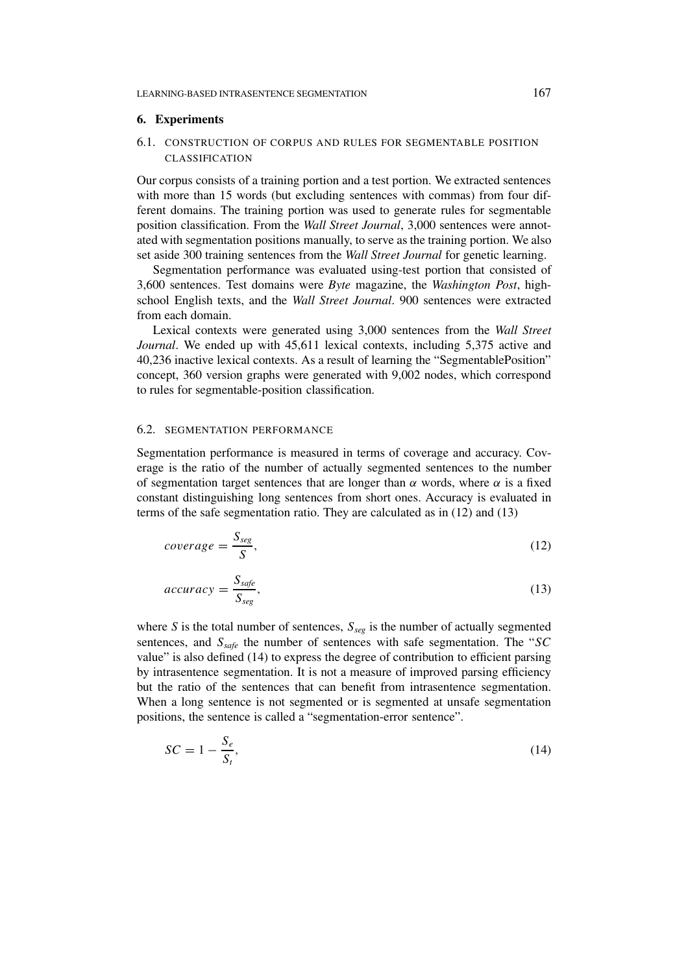# **6. Experiments**

## 6.1. CONSTRUCTION OF CORPUS AND RULES FOR SEGMENTABLE POSITION CLASSIFICATION

Our corpus consists of a training portion and a test portion. We extracted sentences with more than 15 words (but excluding sentences with commas) from four different domains. The training portion was used to generate rules for segmentable position classification. From the *Wall Street Journal*, 3,000 sentences were annotated with segmentation positions manually, to serve as the training portion. We also set aside 300 training sentences from the *Wall Street Journal* for genetic learning.

Segmentation performance was evaluated using-test portion that consisted of 3,600 sentences. Test domains were *Byte* magazine, the *Washington Post*, highschool English texts, and the *Wall Street Journal*. 900 sentences were extracted from each domain.

Lexical contexts were generated using 3,000 sentences from the *Wall Street Journal*. We ended up with 45,611 lexical contexts, including 5,375 active and 40,236 inactive lexical contexts. As a result of learning the "SegmentablePosition" concept, 360 version graphs were generated with 9,002 nodes, which correspond to rules for segmentable-position classification.

#### 6.2. SEGMENTATION PERFORMANCE

Segmentation performance is measured in terms of coverage and accuracy. Coverage is the ratio of the number of actually segmented sentences to the number of segmentation target sentences that are longer than  $\alpha$  words, where  $\alpha$  is a fixed constant distinguishing long sentences from short ones. Accuracy is evaluated in terms of the safe segmentation ratio. They are calculated as in (12) and (13)

$$
coverage = \frac{S_{seg}}{S},\tag{12}
$$

$$
accuracy = \frac{S_{\text{safe}}}{S_{\text{seg}}},\tag{13}
$$

where *S* is the total number of sentences, *Sseg* is the number of actually segmented sentences, and *Ssafe* the number of sentences with safe segmentation. The "*SC* value" is also defined (14) to express the degree of contribution to efficient parsing by intrasentence segmentation. It is not a measure of improved parsing efficiency but the ratio of the sentences that can benefit from intrasentence segmentation. When a long sentence is not segmented or is segmented at unsafe segmentation positions, the sentence is called a "segmentation-error sentence".

$$
SC = 1 - \frac{S_e}{S_t},\tag{14}
$$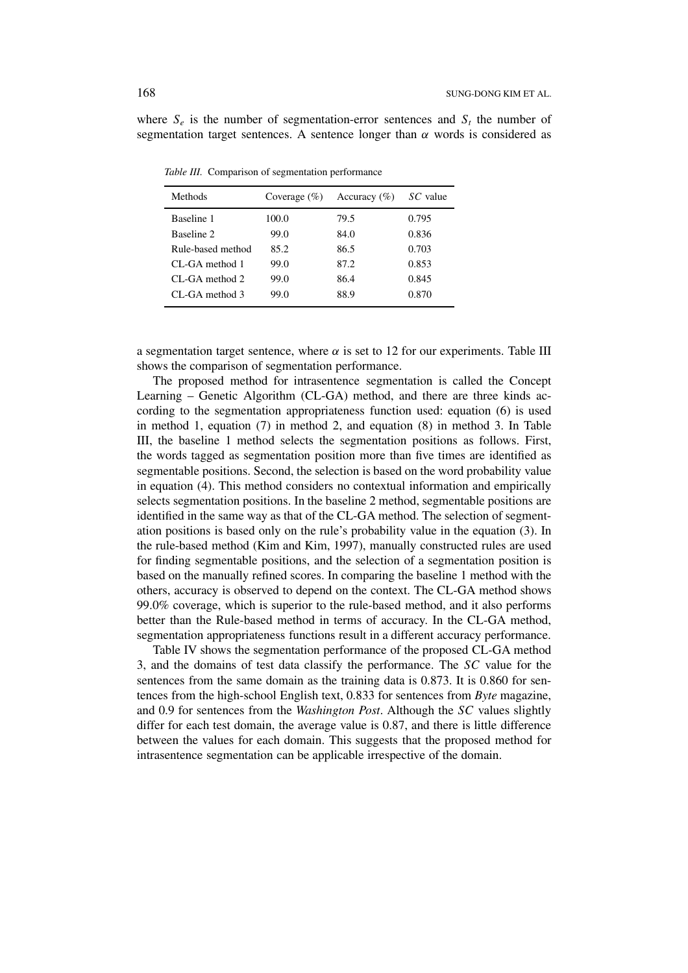where  $S_e$  is the number of segmentation-error sentences and  $S_t$  the number of segmentation target sentences. A sentence longer than  $\alpha$  words is considered as

| <b>Methods</b>    | Coverage $(\%)$ | Accuracy $(\% )$ | SC value |
|-------------------|-----------------|------------------|----------|
| Baseline 1        | 100.0           | 79.5             | 0.795    |
| Baseline 2        | 99.0            | 84.0             | 0.836    |
| Rule-based method | 85.2            | 86.5             | 0.703    |
| CL-GA method 1    | 99.0            | 87.2             | 0.853    |
| CL-GA method 2    | 99.0            | 86.4             | 0.845    |
| CL-GA method 3    | 99.0            | 88.9             | 0.870    |

*Table III.* Comparison of segmentation performance

a segmentation target sentence, where  $\alpha$  is set to 12 for our experiments. Table III shows the comparison of segmentation performance.

The proposed method for intrasentence segmentation is called the Concept Learning – Genetic Algorithm (CL-GA) method, and there are three kinds according to the segmentation appropriateness function used: equation (6) is used in method 1, equation (7) in method 2, and equation (8) in method 3. In Table III, the baseline 1 method selects the segmentation positions as follows. First, the words tagged as segmentation position more than five times are identified as segmentable positions. Second, the selection is based on the word probability value in equation (4). This method considers no contextual information and empirically selects segmentation positions. In the baseline 2 method, segmentable positions are identified in the same way as that of the CL-GA method. The selection of segmentation positions is based only on the rule's probability value in the equation (3). In the rule-based method (Kim and Kim, 1997), manually constructed rules are used for finding segmentable positions, and the selection of a segmentation position is based on the manually refined scores. In comparing the baseline 1 method with the others, accuracy is observed to depend on the context. The CL-GA method shows 99.0% coverage, which is superior to the rule-based method, and it also performs better than the Rule-based method in terms of accuracy. In the CL-GA method, segmentation appropriateness functions result in a different accuracy performance.

Table IV shows the segmentation performance of the proposed CL-GA method 3, and the domains of test data classify the performance. The *SC* value for the sentences from the same domain as the training data is 0.873. It is 0.860 for sentences from the high-school English text, 0.833 for sentences from *Byte* magazine, and 0.9 for sentences from the *Washington Post*. Although the *SC* values slightly differ for each test domain, the average value is 0.87, and there is little difference between the values for each domain. This suggests that the proposed method for intrasentence segmentation can be applicable irrespective of the domain.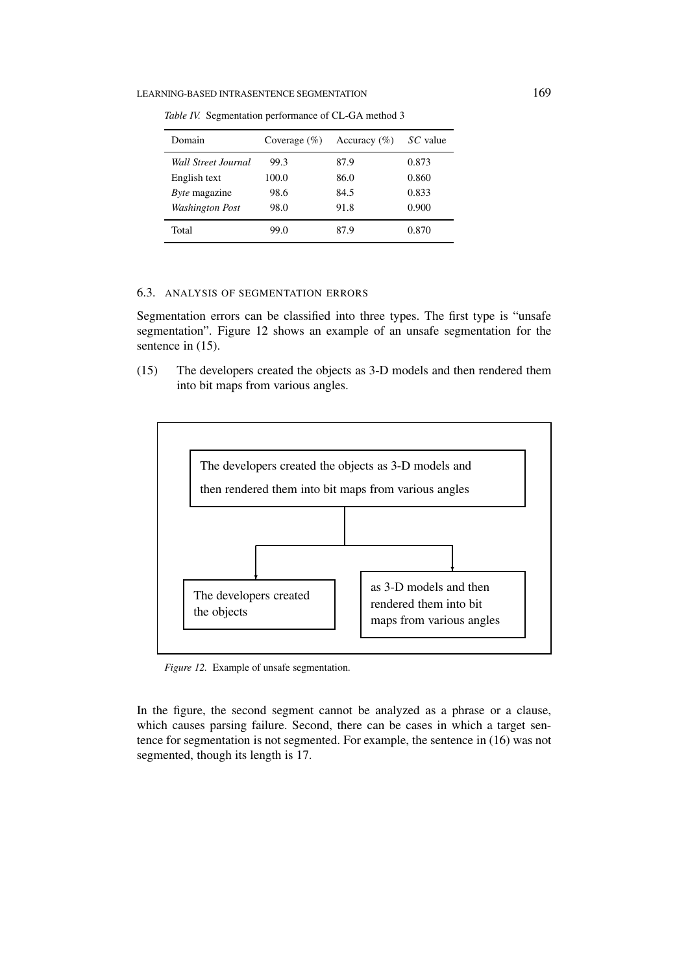| Domain               | Coverage $(\% )$ | Accuracy $(\% )$ | SC value |
|----------------------|------------------|------------------|----------|
| Wall Street Journal  | 99.3             | 87.9             | 0.873    |
| English text         | 100.0            | 86.0             | 0.860    |
| <i>Byte</i> magazine | 98.6             | 84.5             | 0.833    |
| Washington Post      | 98.0             | 91.8             | 0.900    |
| Total                | 99.0             | 87.9             | 0.870    |

*Table IV.* Segmentation performance of CL-GA method 3

# 6.3. ANALYSIS OF SEGMENTATION ERRORS

Segmentation errors can be classified into three types. The first type is "unsafe segmentation". Figure 12 shows an example of an unsafe segmentation for the sentence in  $(15)$ .

(15) The developers created the objects as 3-D models and then rendered them into bit maps from various angles.



*Figure 12.* Example of unsafe segmentation.

In the figure, the second segment cannot be analyzed as a phrase or a clause, which causes parsing failure. Second, there can be cases in which a target sentence for segmentation is not segmented. For example, the sentence in (16) was not segmented, though its length is 17.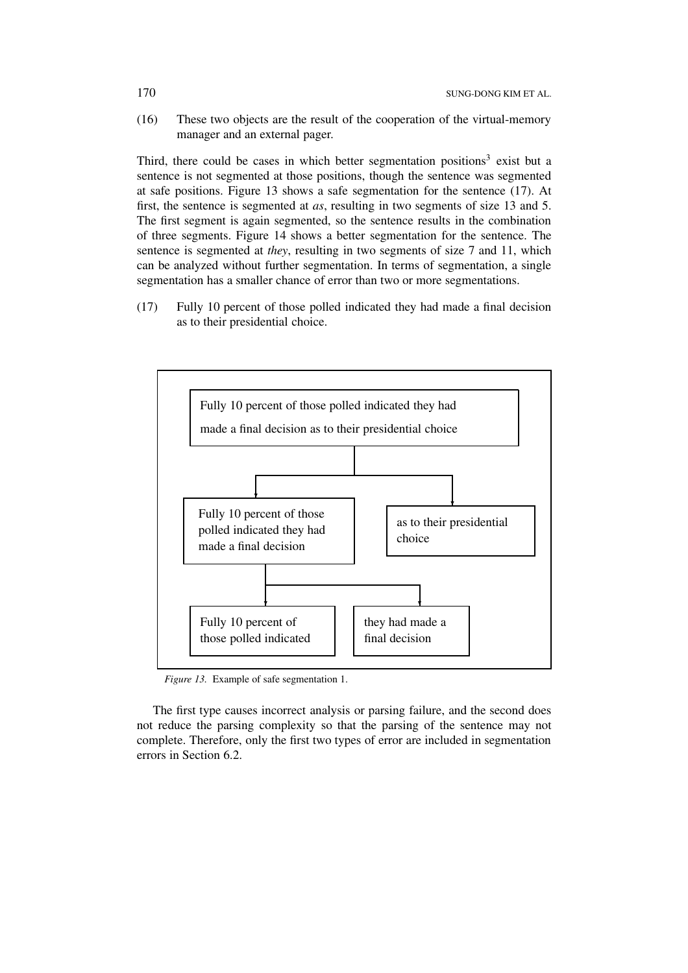(16) These two objects are the result of the cooperation of the virtual-memory manager and an external pager.

Third, there could be cases in which better segmentation positions<sup>3</sup> exist but a sentence is not segmented at those positions, though the sentence was segmented at safe positions. Figure 13 shows a safe segmentation for the sentence (17). At first, the sentence is segmented at *as*, resulting in two segments of size 13 and 5. The first segment is again segmented, so the sentence results in the combination of three segments. Figure 14 shows a better segmentation for the sentence. The sentence is segmented at *they*, resulting in two segments of size 7 and 11, which can be analyzed without further segmentation. In terms of segmentation, a single segmentation has a smaller chance of error than two or more segmentations.

(17) Fully 10 percent of those polled indicated they had made a final decision as to their presidential choice.



*Figure 13.* Example of safe segmentation 1.

The first type causes incorrect analysis or parsing failure, and the second does not reduce the parsing complexity so that the parsing of the sentence may not complete. Therefore, only the first two types of error are included in segmentation errors in Section 6.2.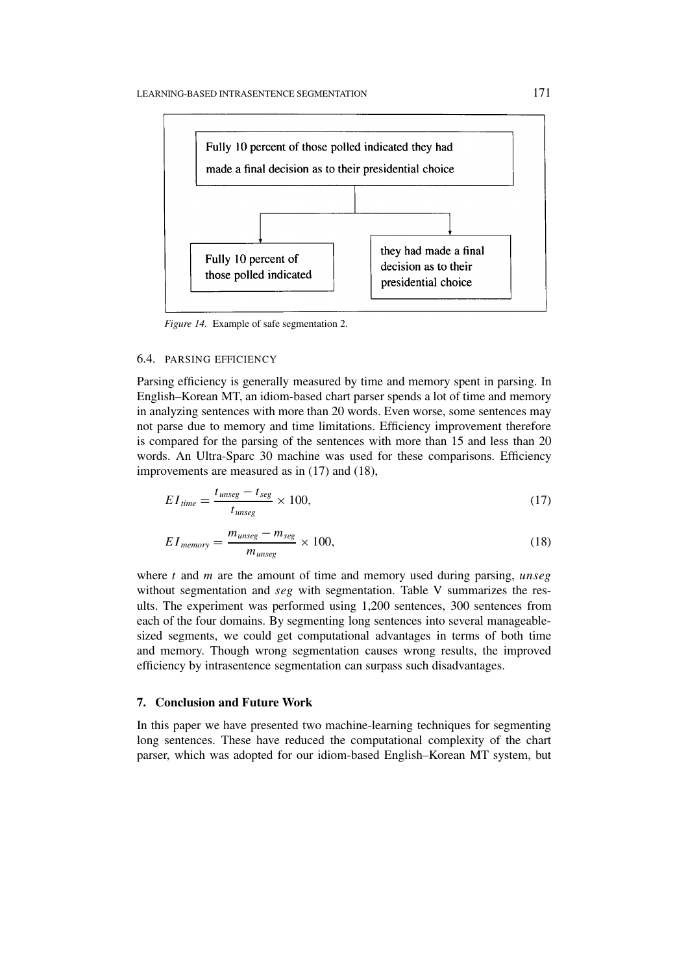

*Figure 14.* Example of safe segmentation 2.

## 6.4. PARSING EFFICIENCY

Parsing efficiency is generally measured by time and memory spent in parsing. In English–Korean MT, an idiom-based chart parser spends a lot of time and memory in analyzing sentences with more than 20 words. Even worse, some sentences may not parse due to memory and time limitations. Efficiency improvement therefore is compared for the parsing of the sentences with more than 15 and less than 20 words. An Ultra-Sparc 30 machine was used for these comparisons. Efficiency improvements are measured as in (17) and (18),

$$
EI_{time} = \frac{t_{unseg} - t_{seg}}{t_{unseg}} \times 100,\tag{17}
$$

$$
EI_{memory} = \frac{m_{unseg} - m_{seg}}{m_{unseg}} \times 100,
$$
\n(18)

where *t* and *m* are the amount of time and memory used during parsing, *unseg* without segmentation and *seg* with segmentation. Table V summarizes the results. The experiment was performed using 1,200 sentences, 300 sentences from each of the four domains. By segmenting long sentences into several manageablesized segments, we could get computational advantages in terms of both time and memory. Though wrong segmentation causes wrong results, the improved efficiency by intrasentence segmentation can surpass such disadvantages.

# **7. Conclusion and Future Work**

In this paper we have presented two machine-learning techniques for segmenting long sentences. These have reduced the computational complexity of the chart parser, which was adopted for our idiom-based English–Korean MT system, but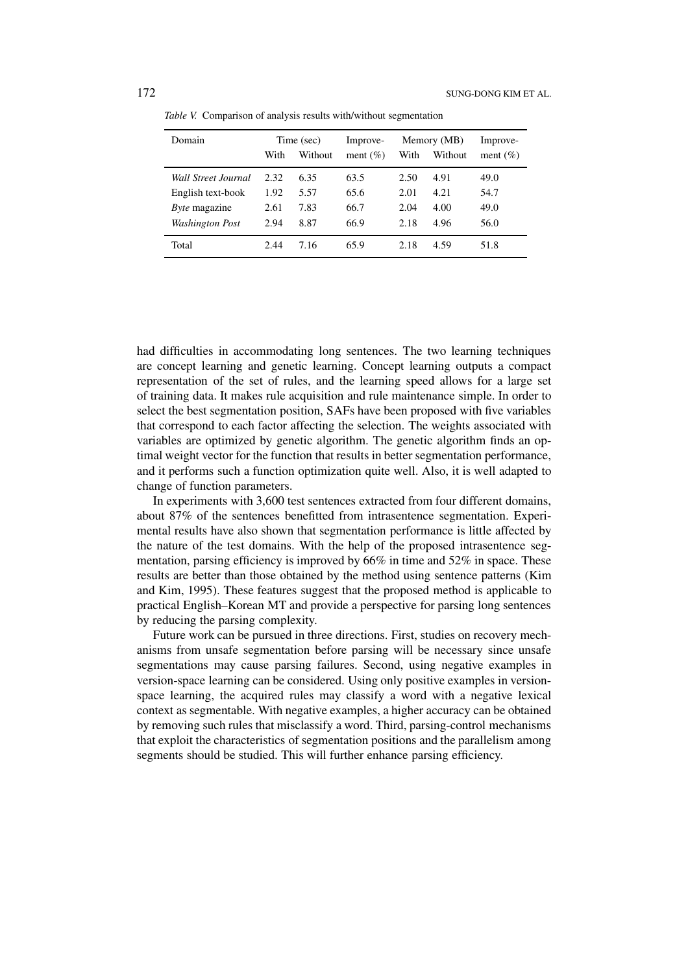| Domain               | With | Time (sec)<br>Without | Improve-<br>ment $(\%)$ | With | Memory (MB)<br>Without | Improve-<br>ment $(\%)$ |
|----------------------|------|-----------------------|-------------------------|------|------------------------|-------------------------|
| Wall Street Journal  | 2.32 | 6.35                  | 63.5                    | 2.50 | 4.91                   | 49.0                    |
| English text-book    | 1.92 | 5.57                  | 65.6                    | 2.01 | 4.21                   | 54.7                    |
| <i>Byte</i> magazine | 2.61 | 7.83                  | 66.7                    | 2.04 | 4.00                   | 49.0                    |
| Washington Post      | 2.94 | 8.87                  | 66.9                    | 2.18 | 4.96                   | 56.0                    |
| Total                | 2.44 | 7.16                  | 65.9                    | 2.18 | 4.59                   | 51.8                    |

*Table V.* Comparison of analysis results with/without segmentation

had difficulties in accommodating long sentences. The two learning techniques are concept learning and genetic learning. Concept learning outputs a compact representation of the set of rules, and the learning speed allows for a large set of training data. It makes rule acquisition and rule maintenance simple. In order to select the best segmentation position, SAFs have been proposed with five variables that correspond to each factor affecting the selection. The weights associated with variables are optimized by genetic algorithm. The genetic algorithm finds an optimal weight vector for the function that results in better segmentation performance, and it performs such a function optimization quite well. Also, it is well adapted to change of function parameters.

In experiments with 3,600 test sentences extracted from four different domains, about 87% of the sentences benefitted from intrasentence segmentation. Experimental results have also shown that segmentation performance is little affected by the nature of the test domains. With the help of the proposed intrasentence segmentation, parsing efficiency is improved by 66% in time and 52% in space. These results are better than those obtained by the method using sentence patterns (Kim and Kim, 1995). These features suggest that the proposed method is applicable to practical English–Korean MT and provide a perspective for parsing long sentences by reducing the parsing complexity.

Future work can be pursued in three directions. First, studies on recovery mechanisms from unsafe segmentation before parsing will be necessary since unsafe segmentations may cause parsing failures. Second, using negative examples in version-space learning can be considered. Using only positive examples in versionspace learning, the acquired rules may classify a word with a negative lexical context as segmentable. With negative examples, a higher accuracy can be obtained by removing such rules that misclassify a word. Third, parsing-control mechanisms that exploit the characteristics of segmentation positions and the parallelism among segments should be studied. This will further enhance parsing efficiency.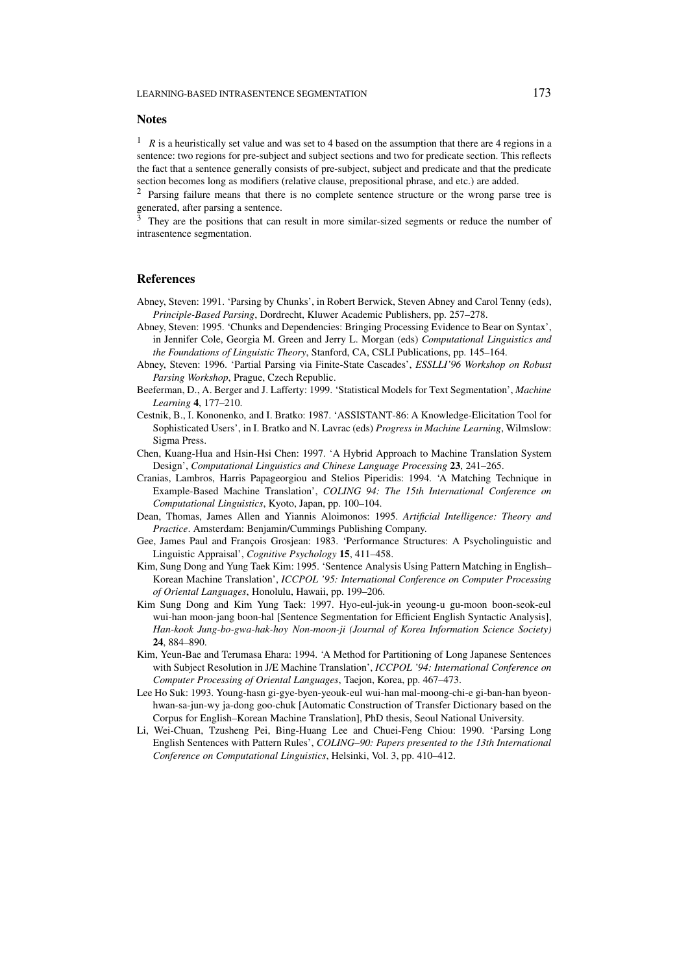# **Notes**

 $1 \text{ } R$  is a heuristically set value and was set to 4 based on the assumption that there are 4 regions in a sentence: two regions for pre-subject and subject sections and two for predicate section. This reflects the fact that a sentence generally consists of pre-subject, subject and predicate and that the predicate section becomes long as modifiers (relative clause, prepositional phrase, and etc.) are added.

 $2$  Parsing failure means that there is no complete sentence structure or the wrong parse tree is generated, after parsing a sentence.

<sup>3</sup> They are the positions that can result in more similar-sized segments or reduce the number of intrasentence segmentation.

#### **References**

- Abney, Steven: 1991. 'Parsing by Chunks', in Robert Berwick, Steven Abney and Carol Tenny (eds), *Principle-Based Parsing*, Dordrecht, Kluwer Academic Publishers, pp. 257–278.
- Abney, Steven: 1995. 'Chunks and Dependencies: Bringing Processing Evidence to Bear on Syntax', in Jennifer Cole, Georgia M. Green and Jerry L. Morgan (eds) *Computational Linguistics and the Foundations of Linguistic Theory*, Stanford, CA, CSLI Publications, pp. 145–164.
- Abney, Steven: 1996. 'Partial Parsing via Finite-State Cascades', *ESSLLI'96 Workshop on Robust Parsing Workshop*, Prague, Czech Republic.
- Beeferman, D., A. Berger and J. Lafferty: 1999. 'Statistical Models for Text Segmentation', *Machine Learning* **4**, 177–210.
- Cestnik, B., I. Kononenko, and I. Bratko: 1987. 'ASSISTANT-86: A Knowledge-Elicitation Tool for Sophisticated Users', in I. Bratko and N. Lavrac (eds) *Progress in Machine Learning*, Wilmslow: Sigma Press.
- Chen, Kuang-Hua and Hsin-Hsi Chen: 1997. 'A Hybrid Approach to Machine Translation System Design', *Computational Linguistics and Chinese Language Processing* **23**, 241–265.
- Cranias, Lambros, Harris Papageorgiou and Stelios Piperidis: 1994. 'A Matching Technique in Example-Based Machine Translation', *COLING 94: The 15th International Conference on Computational Linguistics*, Kyoto, Japan, pp. 100–104.
- Dean, Thomas, James Allen and Yiannis Aloimonos: 1995. *Artificial Intelligence: Theory and Practice*. Amsterdam: Benjamin/Cummings Publishing Company.
- Gee, James Paul and François Grosjean: 1983. 'Performance Structures: A Psycholinguistic and Linguistic Appraisal', *Cognitive Psychology* **15**, 411–458.
- Kim, Sung Dong and Yung Taek Kim: 1995. 'Sentence Analysis Using Pattern Matching in English– Korean Machine Translation', *ICCPOL '95: International Conference on Computer Processing of Oriental Languages*, Honolulu, Hawaii, pp. 199–206.
- Kim Sung Dong and Kim Yung Taek: 1997. Hyo-eul-juk-in yeoung-u gu-moon boon-seok-eul wui-han moon-jang boon-hal [Sentence Segmentation for Efficient English Syntactic Analysis], *Han-kook Jung-bo-gwa-hak-hoy Non-moon-ji (Journal of Korea Information Science Society)* **24**, 884–890.
- Kim, Yeun-Bae and Terumasa Ehara: 1994. 'A Method for Partitioning of Long Japanese Sentences with Subject Resolution in J/E Machine Translation', *ICCPOL '94: International Conference on Computer Processing of Oriental Languages*, Taejon, Korea, pp. 467–473.
- Lee Ho Suk: 1993. Young-hasn gi-gye-byen-yeouk-eul wui-han mal-moong-chi-e gi-ban-han byeonhwan-sa-jun-wy ja-dong goo-chuk [Automatic Construction of Transfer Dictionary based on the Corpus for English–Korean Machine Translation], PhD thesis, Seoul National University.
- Li, Wei-Chuan, Tzusheng Pei, Bing-Huang Lee and Chuei-Feng Chiou: 1990. 'Parsing Long English Sentences with Pattern Rules', *COLING–90: Papers presented to the 13th International Conference on Computational Linguistics*, Helsinki, Vol. 3, pp. 410–412.